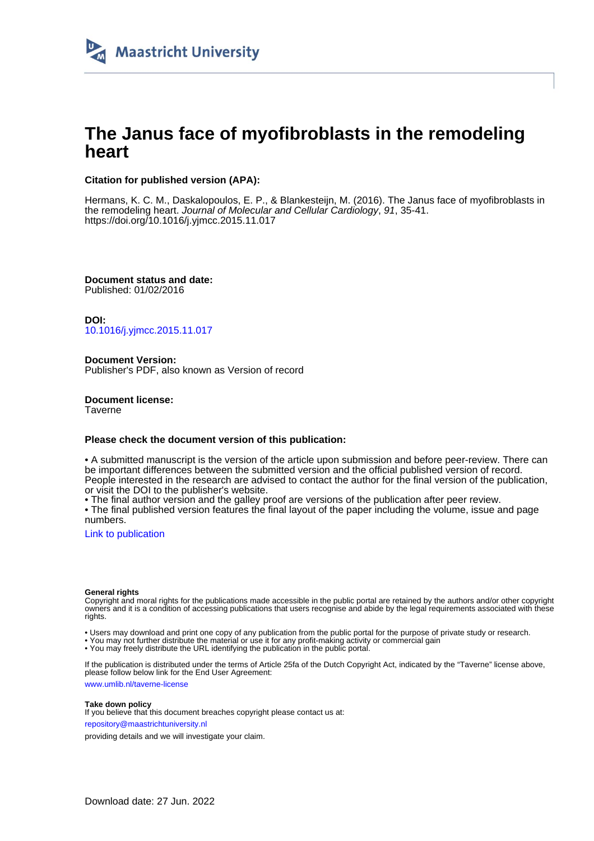

# **The Janus face of myofibroblasts in the remodeling heart**

### **Citation for published version (APA):**

Hermans, K. C. M., Daskalopoulos, E. P., & Blankesteijn, M. (2016). The Janus face of myofibroblasts in the remodeling heart. Journal of Molecular and Cellular Cardiology, 91, 35-41. <https://doi.org/10.1016/j.yjmcc.2015.11.017>

**Document status and date:** Published: 01/02/2016

**DOI:** [10.1016/j.yjmcc.2015.11.017](https://doi.org/10.1016/j.yjmcc.2015.11.017)

**Document Version:** Publisher's PDF, also known as Version of record

**Document license: Taverne** 

#### **Please check the document version of this publication:**

• A submitted manuscript is the version of the article upon submission and before peer-review. There can be important differences between the submitted version and the official published version of record. People interested in the research are advised to contact the author for the final version of the publication, or visit the DOI to the publisher's website.

• The final author version and the galley proof are versions of the publication after peer review.

• The final published version features the final layout of the paper including the volume, issue and page numbers.

[Link to publication](https://cris.maastrichtuniversity.nl/en/publications/8ea8785b-1d09-40c1-b2c3-96066b1951af)

#### **General rights**

Copyright and moral rights for the publications made accessible in the public portal are retained by the authors and/or other copyright owners and it is a condition of accessing publications that users recognise and abide by the legal requirements associated with these rights.

• Users may download and print one copy of any publication from the public portal for the purpose of private study or research.

• You may not further distribute the material or use it for any profit-making activity or commercial gain

• You may freely distribute the URL identifying the publication in the public portal.

If the publication is distributed under the terms of Article 25fa of the Dutch Copyright Act, indicated by the "Taverne" license above, please follow below link for the End User Agreement:

www.umlib.nl/taverne-license

#### **Take down policy**

If you believe that this document breaches copyright please contact us at: repository@maastrichtuniversity.nl

providing details and we will investigate your claim.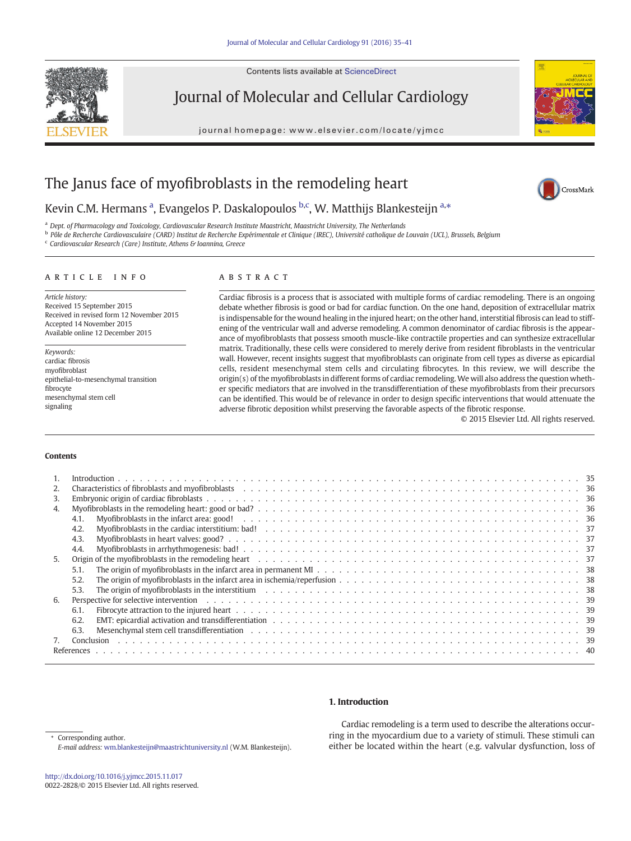Contents lists available at ScienceDirect



Journal of Molecular and Cellular Cardiology

journal homepage:<www.elsevier.com/locate/yjmcc>



CrossMark

# The Janus face of myofibroblasts in the remodeling heart

### Kevin C.M. Hermans <sup>a</sup>, Evangelos P. Daskalopoulos <sup>b,c</sup>, W. Matthijs Blankesteijn <sup>a,</sup>\*

<sup>a</sup> Dept. of Pharmacology and Toxicology, Cardiovascular Research Institute Maastricht, Maastricht University, The Netherlands

<sup>b</sup> Pôle de Recherche Cardiovasculaire (CARD) Institut de Recherche Expérimentale et Clinique (IREC), Université catholique de Louvain (UCL), Brussels, Belgium

 $c$  Cardiovascular Research (Care) Institute, Athens & Ioannina, Greece

#### article info abstract

Article history: Received 15 September 2015 Received in revised form 12 November 2015 Accepted 14 November 2015 Available online 12 December 2015

Keywords: cardiac fibrosis myofibroblast epithelial-to-mesenchymal transition fibrocyte mesenchymal stem cell signaling

Cardiac fibrosis is a process that is associated with multiple forms of cardiac remodeling. There is an ongoing debate whether fibrosis is good or bad for cardiac function. On the one hand, deposition of extracellular matrix is indispensable for the wound healing in the injured heart; on the other hand, interstitial fibrosis can lead to stiffening of the ventricular wall and adverse remodeling. A common denominator of cardiac fibrosis is the appearance of myofibroblasts that possess smooth muscle-like contractile properties and can synthesize extracellular matrix. Traditionally, these cells were considered to merely derive from resident fibroblasts in the ventricular wall. However, recent insights suggest that myofibroblasts can originate from cell types as diverse as epicardial cells, resident mesenchymal stem cells and circulating fibrocytes. In this review, we will describe the origin(s) of the myofibroblasts in different forms of cardiac remodeling.We will also address the question whether specific mediators that are involved in the transdifferentiation of these myofibroblasts from their precursors can be identified. This would be of relevance in order to design specific interventions that would attenuate the adverse fibrotic deposition whilst preserving the favorable aspects of the fibrotic response.

© 2015 Elsevier Ltd. All rights reserved.

#### Contents

| 1.<br>2.<br>3. | Characteristics of fibroblasts and myofibroblasts respectively and the content of the content of the content of the content of the content of the content of the content of the content of the content of the content of the c         |  |
|----------------|----------------------------------------------------------------------------------------------------------------------------------------------------------------------------------------------------------------------------------------|--|
| 4.             |                                                                                                                                                                                                                                        |  |
|                | 4.1.                                                                                                                                                                                                                                   |  |
|                | 4.2.                                                                                                                                                                                                                                   |  |
|                | 4.3.                                                                                                                                                                                                                                   |  |
|                | 4.4.                                                                                                                                                                                                                                   |  |
| 5.             | Origin of the myofibroblasts in the remodeling heart ether extended in the set of the metal of the myofibroblasts in the remodeling heart ether ether ether ether ether ether ether ether ether ether ether ether ether ether          |  |
|                | 5.1.                                                                                                                                                                                                                                   |  |
|                | 5.2.                                                                                                                                                                                                                                   |  |
|                | The origin of myofibroblasts in the interstitium (and all contact and all contact and all contact and all contact and all contact and all contact and all contact and all contact and all contact and all contact and all cont<br>5.3. |  |
| 6.             | Perspective for selective intervention (eds.) and (eds.) and (eds.) and (eds.) and (eds.) and (eds.) and (eds.) and (eds.) and (eds.) and (eds.) and (eds.) and (eds.) and (eds.) and (eds.) and (eds.) and (eds.) and (eds.)          |  |
|                | 6.1.                                                                                                                                                                                                                                   |  |
|                | 6.2.                                                                                                                                                                                                                                   |  |
|                | Mesenchymal stem cell transdifferentiation (a) and a subset of the content of the content of the content of the content of the content of the content of the content of the content of the content of the content of the conte<br>6.3. |  |
| 7.             |                                                                                                                                                                                                                                        |  |
|                |                                                                                                                                                                                                                                        |  |

#### 1. Introduction

Corresponding author. E-mail address: [wm.blankesteijn@maastrichtuniversity.nl](mailto:wm.blankesteijn@maastrichtuniversity.nl) (W.M. Blankesteijn).

Cardiac remodeling is a term used to describe the alterations occurring in the myocardium due to a variety of stimuli. These stimuli can either be located within the heart (e.g. valvular dysfunction, loss of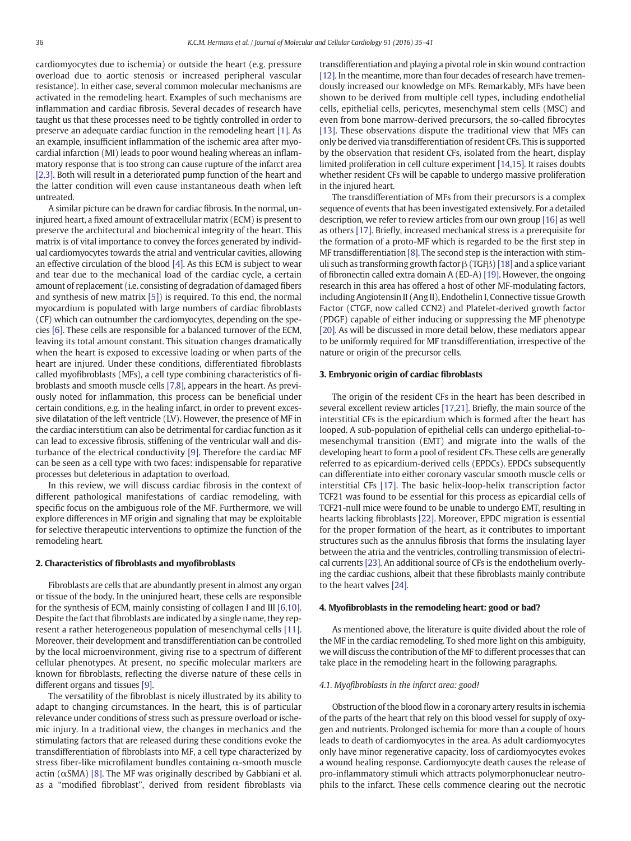cardiomyocytes due to ischemia) or outside the heart (e.g. pressure overload due to aortic stenosis or increased peripheral vascular resistance). In either case, several common molecular mechanisms are activated in the remodeling heart. Examples of such mechanisms are inflammation and cardiac fibrosis. Several decades of research have taught us that these processes need to be tightly controlled in order to preserve an adequate cardiac function in the remodeling heart [\[1\]](#page-6-0). As an example, insufficient inflammation of the ischemic area after myocardial infarction (MI) leads to poor wound healing whereas an inflammatory response that is too strong can cause rupture of the infarct area [\[2,3\].](#page-6-0) Both will result in a deteriorated pump function of the heart and the latter condition will even cause instantaneous death when left untreated.

A similar picture can be drawn for cardiac fibrosis. In the normal, uninjured heart, a fixed amount of extracellular matrix (ECM) is present to preserve the architectural and biochemical integrity of the heart. This matrix is of vital importance to convey the forces generated by individual cardiomyocytes towards the atrial and ventricular cavities, allowing an effective circulation of the blood [\[4\].](#page-6-0) As this ECM is subject to wear and tear due to the mechanical load of the cardiac cycle, a certain amount of replacement (i.e. consisting of degradation of damaged fibers and synthesis of new matrix [\[5\]](#page-6-0)) is required. To this end, the normal myocardium is populated with large numbers of cardiac fibroblasts (CF) which can outnumber the cardiomyocytes, depending on the species [\[6\]](#page-6-0). These cells are responsible for a balanced turnover of the ECM, leaving its total amount constant. This situation changes dramatically when the heart is exposed to excessive loading or when parts of the heart are injured. Under these conditions, differentiated fibroblasts called myofibroblasts (MFs), a cell type combining characteristics of fibroblasts and smooth muscle cells [\[7,8\],](#page-6-0) appears in the heart. As previously noted for inflammation, this process can be beneficial under certain conditions, e.g. in the healing infarct, in order to prevent excessive dilatation of the left ventricle (LV). However, the presence of MF in the cardiac interstitium can also be detrimental for cardiac function as it can lead to excessive fibrosis, stiffening of the ventricular wall and disturbance of the electrical conductivity [\[9\].](#page-6-0) Therefore the cardiac MF can be seen as a cell type with two faces: indispensable for reparative processes but deleterious in adaptation to overload.

In this review, we will discuss cardiac fibrosis in the context of different pathological manifestations of cardiac remodeling, with specific focus on the ambiguous role of the MF. Furthermore, we will explore differences in MF origin and signaling that may be exploitable for selective therapeutic interventions to optimize the function of the remodeling heart.

#### 2. Characteristics of fibroblasts and myofibroblasts

Fibroblasts are cells that are abundantly present in almost any organ or tissue of the body. In the uninjured heart, these cells are responsible for the synthesis of ECM, mainly consisting of collagen I and III [\[6,10\].](#page-6-0) Despite the fact that fibroblasts are indicated by a single name, they represent a rather heterogeneous population of mesenchymal cells [\[11\].](#page-6-0) Moreover, their development and transdifferentiation can be controlled by the local microenvironment, giving rise to a spectrum of different cellular phenotypes. At present, no specific molecular markers are known for fibroblasts, reflecting the diverse nature of these cells in different organs and tissues [\[9\].](#page-6-0)

The versatility of the fibroblast is nicely illustrated by its ability to adapt to changing circumstances. In the heart, this is of particular relevance under conditions of stress such as pressure overload or ischemic injury. In a traditional view, the changes in mechanics and the stimulating factors that are released during these conditions evoke the transdifferentiation of fibroblasts into MF, a cell type characterized by stress fiber-like microfilament bundles containing α-smooth muscle actin ( $\alpha$ SMA) [\[8\]](#page-6-0). The MF was originally described by Gabbiani et al. as a "modified fibroblast", derived from resident fibroblasts via transdifferentiation and playing a pivotal role in skin wound contraction [\[12\]](#page-6-0). In the meantime, more than four decades of research have tremendously increased our knowledge on MFs. Remarkably, MFs have been shown to be derived from multiple cell types, including endothelial cells, epithelial cells, pericytes, mesenchymal stem cells (MSC) and even from bone marrow-derived precursors, the so-called fibrocytes [\[13\].](#page-6-0) These observations dispute the traditional view that MFs can only be derived via transdifferentiation of resident CFs. This is supported by the observation that resident CFs, isolated from the heart, display limited proliferation in cell culture experiment [\[14,15\].](#page-6-0) It raises doubts whether resident CFs will be capable to undergo massive proliferation in the injured heart.

The transdifferentiation of MFs from their precursors is a complex sequence of events that has been investigated extensively. For a detailed description, we refer to review articles from our own group [\[16\]](#page-6-0) as well as others [\[17\].](#page-6-0) Briefly, increased mechanical stress is a prerequisite for the formation of a proto-MF which is regarded to be the first step in MF transdifferentiation [\[8\].](#page-6-0) The second step is the interaction with stimuli such as transforming growth factor β (TGFβ) [\[18\]](#page-6-0) and a splice variant of fibronectin called extra domain A (ED-A) [\[19\]](#page-6-0). However, the ongoing research in this area has offered a host of other MF-modulating factors, including Angiotensin II (Ang II), Endothelin I, Connective tissue Growth Factor (CTGF, now called CCN2) and Platelet-derived growth factor (PDGF) capable of either inducing or suppressing the MF phenotype [\[20\]](#page-6-0). As will be discussed in more detail below, these mediators appear to be uniformly required for MF transdifferentiation, irrespective of the nature or origin of the precursor cells.

#### 3. Embryonic origin of cardiac fibroblasts

The origin of the resident CFs in the heart has been described in several excellent review articles [\[17,21\]](#page-6-0). Briefly, the main source of the interstitial CFs is the epicardium which is formed after the heart has looped. A sub-population of epithelial cells can undergo epithelial-tomesenchymal transition (EMT) and migrate into the walls of the developing heart to form a pool of resident CFs. These cells are generally referred to as epicardium-derived cells (EPDCs). EPDCs subsequently can differentiate into either coronary vascular smooth muscle cells or interstitial CFs [\[17\]](#page-6-0). The basic helix-loop-helix transcription factor TCF21 was found to be essential for this process as epicardial cells of TCF21-null mice were found to be unable to undergo EMT, resulting in hearts lacking fibroblasts [\[22\].](#page-6-0) Moreover, EPDC migration is essential for the proper formation of the heart, as it contributes to important structures such as the annulus fibrosis that forms the insulating layer between the atria and the ventricles, controlling transmission of electrical currents [\[23\].](#page-6-0) An additional source of CFs is the endothelium overlying the cardiac cushions, albeit that these fibroblasts mainly contribute to the heart valves [\[24\].](#page-6-0)

#### 4. Myofibroblasts in the remodeling heart: good or bad?

As mentioned above, the literature is quite divided about the role of the MF in the cardiac remodeling. To shed more light on this ambiguity, we will discuss the contribution of the MF to different processes that can take place in the remodeling heart in the following paragraphs.

#### 4.1. Myofibroblasts in the infarct area: good!

Obstruction of the blood flow in a coronary artery results in ischemia of the parts of the heart that rely on this blood vessel for supply of oxygen and nutrients. Prolonged ischemia for more than a couple of hours leads to death of cardiomyocytes in the area. As adult cardiomyocytes only have minor regenerative capacity, loss of cardiomyocytes evokes a wound healing response. Cardiomyocyte death causes the release of pro-inflammatory stimuli which attracts polymorphonuclear neutrophils to the infarct. These cells commence clearing out the necrotic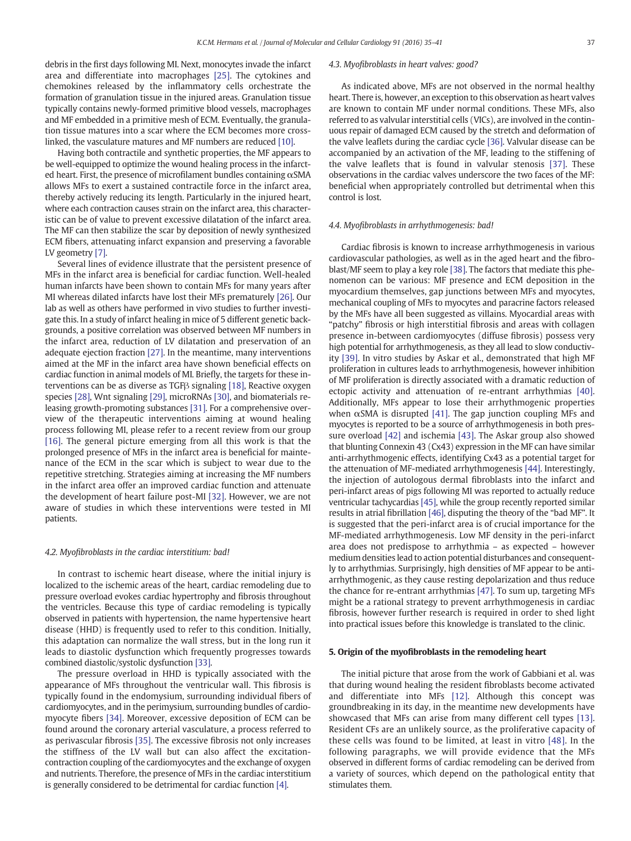debris in the first days following MI. Next, monocytes invade the infarct area and differentiate into macrophages [\[25\].](#page-6-0) The cytokines and chemokines released by the inflammatory cells orchestrate the formation of granulation tissue in the injured areas. Granulation tissue typically contains newly-formed primitive blood vessels, macrophages and MF embedded in a primitive mesh of ECM. Eventually, the granulation tissue matures into a scar where the ECM becomes more crosslinked, the vasculature matures and MF numbers are reduced [\[10\].](#page-6-0)

Having both contractile and synthetic properties, the MF appears to be well-equipped to optimize the wound healing process in the infarcted heart. First, the presence of microfilament bundles containing  $\alpha$ SMA allows MFs to exert a sustained contractile force in the infarct area, thereby actively reducing its length. Particularly in the injured heart, where each contraction causes strain on the infarct area, this characteristic can be of value to prevent excessive dilatation of the infarct area. The MF can then stabilize the scar by deposition of newly synthesized ECM fibers, attenuating infarct expansion and preserving a favorable LV geometry [\[7\].](#page-6-0)

Several lines of evidence illustrate that the persistent presence of MFs in the infarct area is beneficial for cardiac function. Well-healed human infarcts have been shown to contain MFs for many years after MI whereas dilated infarcts have lost their MFs prematurely [\[26\]](#page-6-0). Our lab as well as others have performed in vivo studies to further investigate this. In a study of infarct healing in mice of 5 different genetic backgrounds, a positive correlation was observed between MF numbers in the infarct area, reduction of LV dilatation and preservation of an adequate ejection fraction [\[27\]](#page-6-0). In the meantime, many interventions aimed at the MF in the infarct area have shown beneficial effects on cardiac function in animal models of MI. Briefly, the targets for these interventions can be as diverse as TGFβ signaling [\[18\],](#page-6-0) Reactive oxygen species [\[28\],](#page-6-0) Wnt signaling [\[29\],](#page-6-0) microRNAs [\[30\],](#page-6-0) and biomaterials releasing growth-promoting substances [\[31\]](#page-6-0). For a comprehensive overview of the therapeutic interventions aiming at wound healing process following MI, please refer to a recent review from our group [\[16\]](#page-6-0). The general picture emerging from all this work is that the prolonged presence of MFs in the infarct area is beneficial for maintenance of the ECM in the scar which is subject to wear due to the repetitive stretching. Strategies aiming at increasing the MF numbers in the infarct area offer an improved cardiac function and attenuate the development of heart failure post-MI [\[32\].](#page-6-0) However, we are not aware of studies in which these interventions were tested in MI patients.

#### 4.2. Myofibroblasts in the cardiac interstitium: bad!

In contrast to ischemic heart disease, where the initial injury is localized to the ischemic areas of the heart, cardiac remodeling due to pressure overload evokes cardiac hypertrophy and fibrosis throughout the ventricles. Because this type of cardiac remodeling is typically observed in patients with hypertension, the name hypertensive heart disease (HHD) is frequently used to refer to this condition. Initially, this adaptation can normalize the wall stress, but in the long run it leads to diastolic dysfunction which frequently progresses towards combined diastolic/systolic dysfunction [\[33\].](#page-6-0)

The pressure overload in HHD is typically associated with the appearance of MFs throughout the ventricular wall. This fibrosis is typically found in the endomysium, surrounding individual fibers of cardiomyocytes, and in the perimysium, surrounding bundles of cardiomyocyte fibers [\[34\]](#page-6-0). Moreover, excessive deposition of ECM can be found around the coronary arterial vasculature, a process referred to as perivascular fibrosis [\[35\].](#page-6-0) The excessive fibrosis not only increases the stiffness of the LV wall but can also affect the excitationcontraction coupling of the cardiomyocytes and the exchange of oxygen and nutrients. Therefore, the presence of MFs in the cardiac interstitium is generally considered to be detrimental for cardiac function [\[4\].](#page-6-0)

#### 4.3. Myofibroblasts in heart valves: good?

As indicated above, MFs are not observed in the normal healthy heart. There is, however, an exception to this observation as heart valves are known to contain MF under normal conditions. These MFs, also referred to as valvular interstitial cells (VICs), are involved in the continuous repair of damaged ECM caused by the stretch and deformation of the valve leaflets during the cardiac cycle [\[36\].](#page-6-0) Valvular disease can be accompanied by an activation of the MF, leading to the stiffening of the valve leaflets that is found in valvular stenosis [\[37\].](#page-6-0) These observations in the cardiac valves underscore the two faces of the MF: beneficial when appropriately controlled but detrimental when this control is lost.

#### 4.4. Myofibroblasts in arrhythmogenesis: bad!

Cardiac fibrosis is known to increase arrhythmogenesis in various cardiovascular pathologies, as well as in the aged heart and the fibroblast/MF seem to play a key role [\[38\]](#page-6-0). The factors that mediate this phenomenon can be various: MF presence and ECM deposition in the myocardium themselves, gap junctions between MFs and myocytes, mechanical coupling of MFs to myocytes and paracrine factors released by the MFs have all been suggested as villains. Myocardial areas with "patchy" fibrosis or high interstitial fibrosis and areas with collagen presence in-between cardiomyocytes (diffuse fibrosis) possess very high potential for arrhythmogenesis, as they all lead to slow conductivity [\[39\].](#page-6-0) In vitro studies by Askar et al., demonstrated that high MF proliferation in cultures leads to arrhythmogenesis, however inhibition of MF proliferation is directly associated with a dramatic reduction of ectopic activity and attenuation of re-entrant arrhythmias [\[40\].](#page-6-0) Additionally, MFs appear to lose their arrhythmogenic properties when  $\alpha$ SMA is disrupted [\[41\]](#page-6-0). The gap junction coupling MFs and myocytes is reported to be a source of arrhythmogenesis in both pressure overload [\[42\]](#page-6-0) and ischemia [\[43\].](#page-6-0) The Askar group also showed that blunting Connexin 43 (Cx43) expression in the MF can have similar anti-arrhythmogenic effects, identifying Cx43 as a potential target for the attenuation of MF-mediated arrhythmogenesis [\[44\]](#page-6-0). Interestingly, the injection of autologous dermal fibroblasts into the infarct and peri-infarct areas of pigs following MI was reported to actually reduce ventricular tachycardias [\[45\],](#page-6-0) while the group recently reported similar results in atrial fibrillation [\[46\],](#page-6-0) disputing the theory of the "bad MF". It is suggested that the peri-infarct area is of crucial importance for the MF-mediated arrhythmogenesis. Low MF density in the peri-infarct area does not predispose to arrhythmia – as expected – however medium densities lead to action potential disturbances and consequently to arrhythmias. Surprisingly, high densities of MF appear to be antiarrhythmogenic, as they cause resting depolarization and thus reduce the chance for re-entrant arrhythmias [\[47\]](#page-6-0). To sum up, targeting MFs might be a rational strategy to prevent arrhythmogenesis in cardiac fibrosis, however further research is required in order to shed light into practical issues before this knowledge is translated to the clinic.

#### 5. Origin of the myofibroblasts in the remodeling heart

The initial picture that arose from the work of Gabbiani et al. was that during wound healing the resident fibroblasts become activated and differentiate into MFs [\[12\].](#page-6-0) Although this concept was groundbreaking in its day, in the meantime new developments have showcased that MFs can arise from many different cell types [\[13\].](#page-6-0) Resident CFs are an unlikely source, as the proliferative capacity of these cells was found to be limited, at least in vitro [\[48\]](#page-6-0). In the following paragraphs, we will provide evidence that the MFs observed in different forms of cardiac remodeling can be derived from a variety of sources, which depend on the pathological entity that stimulates them.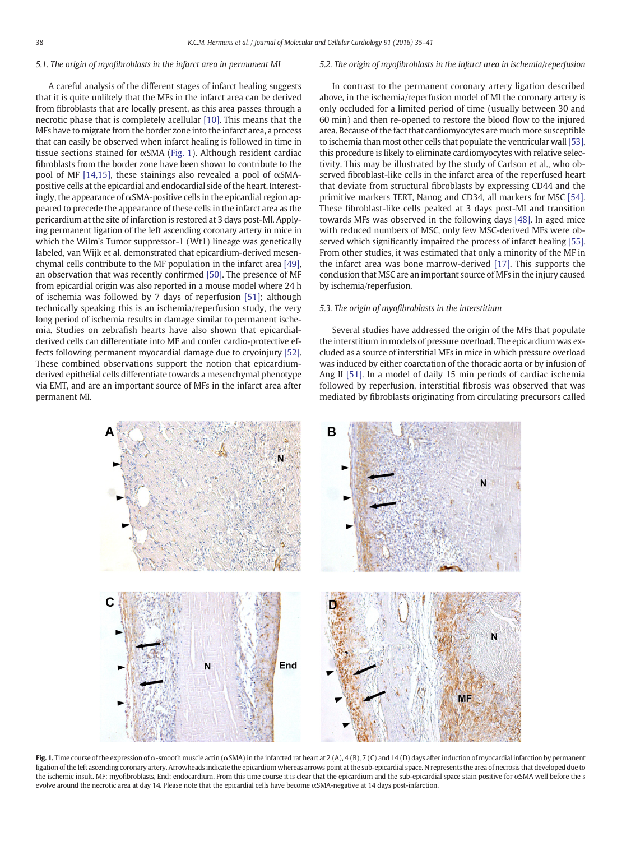#### 5.1. The origin of myofibroblasts in the infarct area in permanent MI

A careful analysis of the different stages of infarct healing suggests that it is quite unlikely that the MFs in the infarct area can be derived from fibroblasts that are locally present, as this area passes through a necrotic phase that is completely acellular [\[10\]](#page-6-0). This means that the MFs have to migrate from the border zone into the infarct area, a process that can easily be observed when infarct healing is followed in time in tissue sections stained for  $\alpha$ SMA (Fig. 1). Although resident cardiac fibroblasts from the border zone have been shown to contribute to the pool of MF [\[14,15\]](#page-6-0), these stainings also revealed a pool of  $αSMA$ positive cells at the epicardial and endocardial side of the heart. Interestingly, the appearance of  $\alpha$ SMA-positive cells in the epicardial region appeared to precede the appearance of these cells in the infarct area as the pericardium at the site of infarction is restored at 3 days post-MI. Applying permanent ligation of the left ascending coronary artery in mice in which the Wilm's Tumor suppressor-1 (Wt1) lineage was genetically labeled, van Wijk et al. demonstrated that epicardium-derived mesenchymal cells contribute to the MF population in the infarct area [\[49\],](#page-6-0) an observation that was recently confirmed [\[50\].](#page-6-0) The presence of MF from epicardial origin was also reported in a mouse model where 24 h of ischemia was followed by 7 days of reperfusion [\[51\];](#page-6-0) although technically speaking this is an ischemia/reperfusion study, the very long period of ischemia results in damage similar to permanent ischemia. Studies on zebrafish hearts have also shown that epicardialderived cells can differentiate into MF and confer cardio-protective effects following permanent myocardial damage due to cryoinjury [\[52\].](#page-6-0) These combined observations support the notion that epicardiumderived epithelial cells differentiate towards a mesenchymal phenotype via EMT, and are an important source of MFs in the infarct area after permanent MI.

#### 5.2. The origin of myofibroblasts in the infarct area in ischemia/reperfusion

In contrast to the permanent coronary artery ligation described above, in the ischemia/reperfusion model of MI the coronary artery is only occluded for a limited period of time (usually between 30 and 60 min) and then re-opened to restore the blood flow to the injured area. Because of the fact that cardiomyocytes are much more susceptible to ischemia than most other cells that populate the ventricular wall [\[53\],](#page-7-0) this procedure is likely to eliminate cardiomyocytes with relative selectivity. This may be illustrated by the study of Carlson et al., who observed fibroblast-like cells in the infarct area of the reperfused heart that deviate from structural fibroblasts by expressing CD44 and the primitive markers TERT, Nanog and CD34, all markers for MSC [\[54\].](#page-7-0) These fibroblast-like cells peaked at 3 days post-MI and transition towards MFs was observed in the following days [\[48\].](#page-6-0) In aged mice with reduced numbers of MSC, only few MSC-derived MFs were observed which significantly impaired the process of infarct healing [\[55\].](#page-7-0) From other studies, it was estimated that only a minority of the MF in the infarct area was bone marrow-derived [\[17\].](#page-6-0) This supports the conclusion that MSC are an important source of MFs in the injury caused by ischemia/reperfusion.

#### 5.3. The origin of myofibroblasts in the interstitium

Several studies have addressed the origin of the MFs that populate the interstitium in models of pressure overload. The epicardium was excluded as a source of interstitial MFs in mice in which pressure overload was induced by either coarctation of the thoracic aorta or by infusion of Ang II [\[51\].](#page-6-0) In a model of daily 15 min periods of cardiac ischemia followed by reperfusion, interstitial fibrosis was observed that was mediated by fibroblasts originating from circulating precursors called



Fig. 1. Time course of the expression of  $\alpha$ -smooth muscle actin ( $\alpha$ SMA) in the infarcted rat heart at 2 (A), 4 (B), 7 (C) and 14 (D) days after induction of myocardial infarction by permanent ligation of the left ascending coronary artery. Arrowheads indicate the epicardium whereas arrows point at the sub-epicardial space. N represents the area of necrosis that developed due to the ischemic insult. MF: myofibroblasts, End: endocardium. From this time course it is clear that the epicardium and the sub-epicardial space stain positive for αSMA well before the s evolve around the necrotic area at day 14. Please note that the epicardial cells have become αSMA-negative at 14 days post-infarction.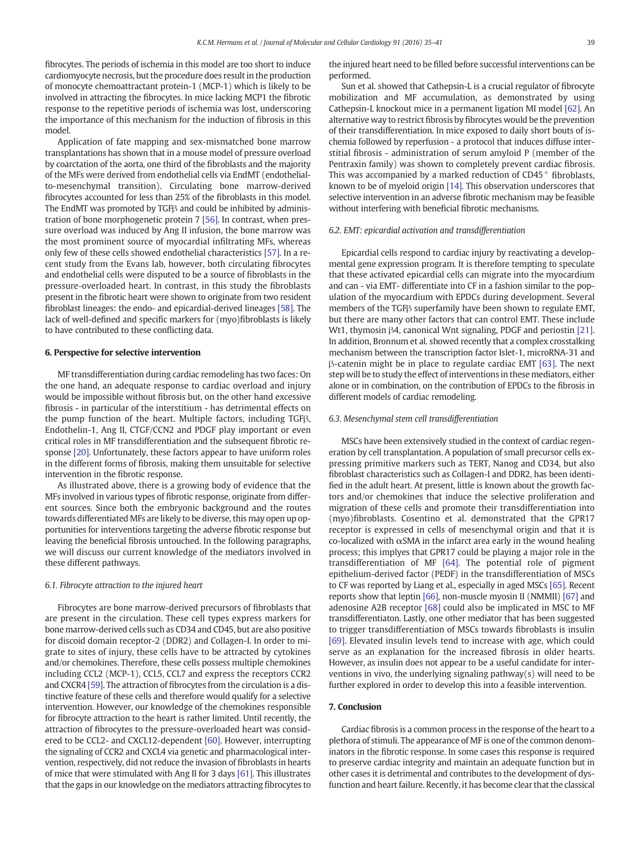fibrocytes. The periods of ischemia in this model are too short to induce cardiomyocyte necrosis, but the procedure does result in the production of monocyte chemoattractant protein-1 (MCP-1) which is likely to be involved in attracting the fibrocytes. In mice lacking MCP1 the fibrotic response to the repetitive periods of ischemia was lost, underscoring the importance of this mechanism for the induction of fibrosis in this model.

Application of fate mapping and sex-mismatched bone marrow transplantations has shown that in a mouse model of pressure overload by coarctation of the aorta, one third of the fibroblasts and the majority of the MFs were derived from endothelial cells via EndMT (endothelialto-mesenchymal transition). Circulating bone marrow-derived fibrocytes accounted for less than 25% of the fibroblasts in this model. The EndMT was promoted by TGFβ and could be inhibited by administration of bone morphogenetic protein 7 [\[56\].](#page-7-0) In contrast, when pressure overload was induced by Ang II infusion, the bone marrow was the most prominent source of myocardial infiltrating MFs, whereas only few of these cells showed endothelial characteristics [\[57\].](#page-7-0) In a recent study from the Evans lab, however, both circulating fibrocytes and endothelial cells were disputed to be a source of fibroblasts in the pressure-overloaded heart. In contrast, in this study the fibroblasts present in the fibrotic heart were shown to originate from two resident fibroblast lineages: the endo- and epicardial-derived lineages [\[58\]](#page-7-0). The lack of well-defined and specific markers for (myo)fibroblasts is likely to have contributed to these conflicting data.

#### 6. Perspective for selective intervention

MF transdifferentiation during cardiac remodeling has two faces: On the one hand, an adequate response to cardiac overload and injury would be impossible without fibrosis but, on the other hand excessive fibrosis - in particular of the interstitium - has detrimental effects on the pump function of the heart. Multiple factors, including TGFβ, Endothelin-1, Ang II, CTGF/CCN2 and PDGF play important or even critical roles in MF transdifferentiation and the subsequent fibrotic response [\[20\].](#page-6-0) Unfortunately, these factors appear to have uniform roles in the different forms of fibrosis, making them unsuitable for selective intervention in the fibrotic response.

As illustrated above, there is a growing body of evidence that the MFs involved in various types of fibrotic response, originate from different sources. Since both the embryonic background and the routes towards differentiated MFs are likely to be diverse, this may open up opportunities for interventions targeting the adverse fibrotic response but leaving the beneficial fibrosis untouched. In the following paragraphs, we will discuss our current knowledge of the mediators involved in these different pathways.

#### 6.1. Fibrocyte attraction to the injured heart

Fibrocytes are bone marrow-derived precursors of fibroblasts that are present in the circulation. These cell types express markers for bone marrow-derived cells such as CD34 and CD45, but are also positive for discoid domain receptor-2 (DDR2) and Collagen-I. In order to migrate to sites of injury, these cells have to be attracted by cytokines and/or chemokines. Therefore, these cells possess multiple chemokines including CCL2 (MCP-1), CCL5, CCL7 and express the receptors CCR2 and CXCR4 [\[59\]](#page-7-0). The attraction of fibrocytes from the circulation is a distinctive feature of these cells and therefore would qualify for a selective intervention. However, our knowledge of the chemokines responsible for fibrocyte attraction to the heart is rather limited. Until recently, the attraction of fibrocytes to the pressure-overloaded heart was considered to be CCL2- and CXCL12-dependent [\[60\]](#page-7-0). However, interrupting the signaling of CCR2 and CXCL4 via genetic and pharmacological intervention, respectively, did not reduce the invasion of fibroblasts in hearts of mice that were stimulated with Ang II for 3 days [\[61\]](#page-7-0). This illustrates that the gaps in our knowledge on the mediators attracting fibrocytes to the injured heart need to be filled before successful interventions can be performed.

Sun et al. showed that Cathepsin-L is a crucial regulator of fibrocyte mobilization and MF accumulation, as demonstrated by using Cathepsin-L knockout mice in a permanent ligation MI model [\[62\].](#page-7-0) An alternative way to restrict fibrosis by fibrocytes would be the prevention of their transdifferentiation. In mice exposed to daily short bouts of ischemia followed by reperfusion - a protocol that induces diffuse interstitial fibrosis - administration of serum amyloid P (member of the Pentraxin family) was shown to completely prevent cardiac fibrosis. This was accompanied by a marked reduction of  $CD45<sup>+</sup>$  fibroblasts, known to be of myeloid origin [\[14\]](#page-6-0). This observation underscores that selective intervention in an adverse fibrotic mechanism may be feasible without interfering with beneficial fibrotic mechanisms.

#### 6.2. EMT: epicardial activation and transdifferentiation

Epicardial cells respond to cardiac injury by reactivating a developmental gene expression program. It is therefore tempting to speculate that these activated epicardial cells can migrate into the myocardium and can - via EMT- differentiate into CF in a fashion similar to the population of the myocardium with EPDCs during development. Several members of the TGFβ superfamily have been shown to regulate EMT, but there are many other factors that can control EMT. These include Wt1, thymosin β4, canonical Wnt signaling, PDGF and periostin [\[21\].](#page-6-0) In addition, Bronnum et al. showed recently that a complex crosstalking mechanism between the transcription factor Islet-1, microRNA-31 and β-catenin might be in place to regulate cardiac EMT [\[63\]](#page-7-0). The next step will be to study the effect of interventions in these mediators, either alone or in combination, on the contribution of EPDCs to the fibrosis in different models of cardiac remodeling.

#### 6.3. Mesenchymal stem cell transdifferentiation

MSCs have been extensively studied in the context of cardiac regeneration by cell transplantation. A population of small precursor cells expressing primitive markers such as TERT, Nanog and CD34, but also fibroblast characteristics such as Collagen-I and DDR2, has been identified in the adult heart. At present, little is known about the growth factors and/or chemokines that induce the selective proliferation and migration of these cells and promote their transdifferentiation into (myo)fibroblasts. Cosentino et al. demonstrated that the GPR17 receptor is expressed in cells of mesenchymal origin and that it is co-localized with αSMA in the infarct area early in the wound healing process; this implyes that GPR17 could be playing a major role in the transdifferentiation of MF [\[64\].](#page-7-0) The potential role of pigment epithelium-derived factor (PEDF) in the transdifferentiation of MSCs to CF was reported by Liang et al., especially in aged MSCs [\[65\]](#page-7-0). Recent reports show that leptin [\[66\],](#page-7-0) non-muscle myosin II (NMMII) [\[67\]](#page-7-0) and adenosine A2B receptor [\[68\]](#page-7-0) could also be implicated in MSC to MF transdifferentiaton. Lastly, one other mediator that has been suggested to trigger transdifferentiation of MSCs towards fibroblasts is insulin [\[69\]](#page-7-0). Elevated insulin levels tend to increase with age, which could serve as an explanation for the increased fibrosis in older hearts. However, as insulin does not appear to be a useful candidate for interventions in vivo, the underlying signaling pathway(s) will need to be further explored in order to develop this into a feasible intervention.

#### 7. Conclusion

Cardiac fibrosis is a common process in the response of the heart to a plethora of stimuli. The appearance of MF is one of the common denominators in the fibrotic response. In some cases this response is required to preserve cardiac integrity and maintain an adequate function but in other cases it is detrimental and contributes to the development of dysfunction and heart failure. Recently, it has become clear that the classical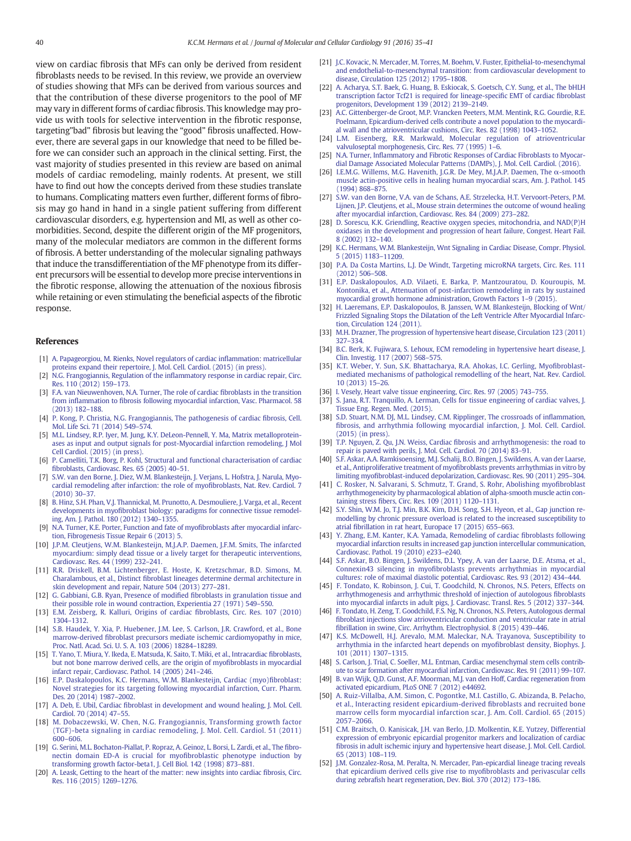<span id="page-6-0"></span>view on cardiac fibrosis that MFs can only be derived from resident fibroblasts needs to be revised. In this review, we provide an overview of studies showing that MFs can be derived from various sources and that the contribution of these diverse progenitors to the pool of MF may vary in different forms of cardiac fibrosis. This knowledge may provide us with tools for selective intervention in the fibrotic response, targeting"bad" fibrosis but leaving the "good" fibrosis unaffected. However, there are several gaps in our knowledge that need to be filled before we can consider such an approach in the clinical setting. First, the vast majority of studies presented in this review are based on animal models of cardiac remodeling, mainly rodents. At present, we still have to find out how the concepts derived from these studies translate to humans. Complicating matters even further, different forms of fibrosis may go hand in hand in a single patient suffering from different cardiovascular disorders, e.g. hypertension and MI, as well as other comorbidities. Second, despite the different origin of the MF progenitors, many of the molecular mediators are common in the different forms of fibrosis. A better understanding of the molecular signaling pathways that induce the transdifferentiation of the MF phenotype from its different precursors will be essential to develop more precise interventions in the fibrotic response, allowing the attenuation of the noxious fibrosis while retaining or even stimulating the beneficial aspects of the fibrotic response.

#### References

- [1] [A. Papageorgiou, M. Rienks, Novel regulators of cardiac in](http://refhub.elsevier.com/S0022-2828(15)30121-8/rf0005)flammation: matricellular [proteins expand their repertoire, J. Mol. Cell. Cardiol. \(2015\) \(in press\).](http://refhub.elsevier.com/S0022-2828(15)30121-8/rf0005)
- N.G. Frangogiannis, Regulation of the infl[ammatory response in cardiac repair, Circ.](http://refhub.elsevier.com/S0022-2828(15)30121-8/rf0010) [Res. 110 \(2012\) 159](http://refhub.elsevier.com/S0022-2828(15)30121-8/rf0010)–173.
- [3] [F.A. van Nieuwenhoven, N.A. Turner, The role of cardiac](http://refhub.elsevier.com/S0022-2828(15)30121-8/rf0015) fibroblasts in the transition from inflammation to fi[brosis following myocardial infarction, Vasc. Pharmacol. 58](http://refhub.elsevier.com/S0022-2828(15)30121-8/rf0015) [\(2013\) 182](http://refhub.elsevier.com/S0022-2828(15)30121-8/rf0015)–188.
- [4] [P. Kong, P. Christia, N.G. Frangogiannis, The pathogenesis of cardiac](http://refhub.elsevier.com/S0022-2828(15)30121-8/rf0020) fibrosis, Cell. [Mol. Life Sci. 71 \(2014\) 549](http://refhub.elsevier.com/S0022-2828(15)30121-8/rf0020)–574.
- [5] [M.L. Lindsey, R.P. Iyer, M. Jung, K.Y. DeLeon-Pennell, Y. Ma, Matrix metalloprotein](http://refhub.elsevier.com/S0022-2828(15)30121-8/rf0025)[ases as input and output signals for post-Myocardial infarction remodeling, J Mol](http://refhub.elsevier.com/S0022-2828(15)30121-8/rf0025) [Cell Cardiol. \(2015\) \(in press\)](http://refhub.elsevier.com/S0022-2828(15)30121-8/rf0025).
- [6] [P. Camelliti, T.K. Borg, P. Kohl, Structural and functional characterisation of cardiac](http://refhub.elsevier.com/S0022-2828(15)30121-8/rf0030) fi[broblasts, Cardiovasc. Res. 65 \(2005\) 40](http://refhub.elsevier.com/S0022-2828(15)30121-8/rf0030)–51.
- [7] [S.W. van den Borne, J. Diez, W.M. Blankesteijn, J. Verjans, L. Hofstra, J. Narula, Myo](http://refhub.elsevier.com/S0022-2828(15)30121-8/rf0035)[cardial remodeling after infarction: the role of myo](http://refhub.elsevier.com/S0022-2828(15)30121-8/rf0035)fibroblasts, Nat. Rev. Cardiol. 7 [\(2010\) 30](http://refhub.elsevier.com/S0022-2828(15)30121-8/rf0035)–37.
- [8] [B. Hinz, S.H. Phan, V.J. Thannickal, M. Prunotto, A. Desmouliere, J. Varga, et al., Recent](http://refhub.elsevier.com/S0022-2828(15)30121-8/rf0040) developments in myofi[broblast biology: paradigms for connective tissue remodel](http://refhub.elsevier.com/S0022-2828(15)30121-8/rf0040)[ing, Am. J. Pathol. 180 \(2012\) 1340](http://refhub.elsevier.com/S0022-2828(15)30121-8/rf0040)–1355.
- [9] [N.A. Turner, K.E. Porter, Function and fate of myo](http://refhub.elsevier.com/S0022-2828(15)30121-8/rf0045)fibroblasts after myocardial infarc[tion, Fibrogenesis Tissue Repair 6 \(2013\) 5.](http://refhub.elsevier.com/S0022-2828(15)30121-8/rf0045)
- [10] [J.P.M. Cleutjens, W.M. Blankesteijn, M.J.A.P. Daemen, J.F.M. Smits, The infarcted](http://refhub.elsevier.com/S0022-2828(15)30121-8/rf0050) [myocardium: simply dead tissue or a lively target for therapeutic interventions,](http://refhub.elsevier.com/S0022-2828(15)30121-8/rf0050) [Cardiovasc. Res. 44 \(1999\) 232](http://refhub.elsevier.com/S0022-2828(15)30121-8/rf0050)–241.
- [11] [R.R. Driskell, B.M. Lichtenberger, E. Hoste, K. Kretzschmar, B.D. Simons, M.](http://refhub.elsevier.com/S0022-2828(15)30121-8/rf0055) Charalambous, et al., Distinct fi[broblast lineages determine dermal architecture in](http://refhub.elsevier.com/S0022-2828(15)30121-8/rf0055) [skin development and repair, Nature 504 \(2013\) 277](http://refhub.elsevier.com/S0022-2828(15)30121-8/rf0055)–281.
- [12] [G. Gabbiani, G.B. Ryan, Presence of modi](http://refhub.elsevier.com/S0022-2828(15)30121-8/rf0060)fied fibroblasts in granulation tissue and [their possible role in wound contraction, Experientia 27 \(1971\) 549](http://refhub.elsevier.com/S0022-2828(15)30121-8/rf0060)–550.
- [13] [E.M. Zeisberg, R. Kalluri, Origins of cardiac](http://refhub.elsevier.com/S0022-2828(15)30121-8/rf0065) fibroblasts, Circ. Res. 107 (2010) 1304–[1312.](http://refhub.elsevier.com/S0022-2828(15)30121-8/rf0065)
- [14] [S.B. Haudek, Y. Xia, P. Huebener, J.M. Lee, S. Carlson, J.R. Crawford, et al., Bone](http://refhub.elsevier.com/S0022-2828(15)30121-8/rf0070) marrow-derived fi[broblast precursors mediate ischemic cardiomyopathy in mice,](http://refhub.elsevier.com/S0022-2828(15)30121-8/rf0070) [Proc. Natl. Acad. Sci. U. S. A. 103 \(2006\) 18284](http://refhub.elsevier.com/S0022-2828(15)30121-8/rf0070)–18289.
- [15] [T. Yano, T. Miura, Y. Ikeda, E. Matsuda, K. Saito, T. Miki, et al., Intracardiac](http://refhub.elsevier.com/S0022-2828(15)30121-8/rf0075) fibroblasts, [but not bone marrow derived cells, are the origin of myo](http://refhub.elsevier.com/S0022-2828(15)30121-8/rf0075)fibroblasts in myocardial [infarct repair, Cardiovasc. Pathol. 14 \(2005\) 241](http://refhub.elsevier.com/S0022-2828(15)30121-8/rf0075)–246.
- [16] [E.P. Daskalopoulos, K.C. Hermans, W.M. Blankesteijn, Cardiac \(myo\)](http://refhub.elsevier.com/S0022-2828(15)30121-8/rf0080)fibroblast: [Novel strategies for its targeting following myocardial infarction, Curr. Pharm.](http://refhub.elsevier.com/S0022-2828(15)30121-8/rf0080) [Des. 20 \(2014\) 1987](http://refhub.elsevier.com/S0022-2828(15)30121-8/rf0080)–2002.
- [17] A. Deb, E. Ubil, Cardiac fi[broblast in development and wound healing, J. Mol. Cell.](http://refhub.elsevier.com/S0022-2828(15)30121-8/rf0085) [Cardiol. 70 \(2014\) 47](http://refhub.elsevier.com/S0022-2828(15)30121-8/rf0085)–55.
- [18] [M. Dobaczewski, W. Chen, N.G. Frangogiannis, Transforming growth factor](http://refhub.elsevier.com/S0022-2828(15)30121-8/rf0090) [\(TGF\)-beta signaling in cardiac remodeling, J. Mol. Cell. Cardiol. 51 \(2011\)](http://refhub.elsevier.com/S0022-2828(15)30121-8/rf0090) 600–[606](http://refhub.elsevier.com/S0022-2828(15)30121-8/rf0090).
- [19] [G. Serini, M.L. Bochaton-Piallat, P. Ropraz, A. Geinoz, L. Borsi, L. Zardi, et al., The](http://refhub.elsevier.com/S0022-2828(15)30121-8/rf0095) fibro[nectin domain ED-A is crucial for myo](http://refhub.elsevier.com/S0022-2828(15)30121-8/rf0095)fibroblastic phenotype induction by [transforming growth factor-beta1, J. Cell Biol. 142 \(1998\) 873](http://refhub.elsevier.com/S0022-2828(15)30121-8/rf0095)–881.
- [20] [A. Leask, Getting to the heart of the matter: new insights into cardiac](http://refhub.elsevier.com/S0022-2828(15)30121-8/rf0100) fibrosis, Circ. [Res. 116 \(2015\) 1269](http://refhub.elsevier.com/S0022-2828(15)30121-8/rf0100)–1276.
- [21] [J.C. Kovacic, N. Mercader, M. Torres, M. Boehm, V. Fuster, Epithelial-to-mesenchymal](http://refhub.elsevier.com/S0022-2828(15)30121-8/rf0105) [and endothelial-to-mesenchymal transition: from cardiovascular development to](http://refhub.elsevier.com/S0022-2828(15)30121-8/rf0105) [disease, Circulation 125 \(2012\) 1795](http://refhub.elsevier.com/S0022-2828(15)30121-8/rf0105)–1808.
- [22] [A. Acharya, S.T. Baek, G. Huang, B. Eskiocak, S. Goetsch, C.Y. Sung, et al., The bHLH](http://refhub.elsevier.com/S0022-2828(15)30121-8/rf0110) [transcription factor Tcf21 is required for lineage-speci](http://refhub.elsevier.com/S0022-2828(15)30121-8/rf0110)fic EMT of cardiac fibroblast [progenitors, Development 139 \(2012\) 2139](http://refhub.elsevier.com/S0022-2828(15)30121-8/rf0110)–2149.
- [23] [A.C. Gittenberger-de Groot, M.P. Vrancken Peeters, M.M. Mentink, R.G. Gourdie, R.E.](http://refhub.elsevier.com/S0022-2828(15)30121-8/rf0115) [Poelmann, Epicardium-derived cells contribute a novel population to the myocardi](http://refhub.elsevier.com/S0022-2828(15)30121-8/rf0115)[al wall and the atrioventricular cushions, Circ. Res. 82 \(1998\) 1043](http://refhub.elsevier.com/S0022-2828(15)30121-8/rf0115)–1052.
- [24] [L.M. Eisenberg, R.R. Markwald, Molecular regulation of atrioventricular](http://refhub.elsevier.com/S0022-2828(15)30121-8/rf0120) [valvuloseptal morphogenesis, Circ. Res. 77 \(1995\) 1](http://refhub.elsevier.com/S0022-2828(15)30121-8/rf0120)–6.
- [25] N.A. Turner, Infl[ammatory and Fibrotic Responses of Cardiac Fibroblasts to Myocar](http://refhub.elsevier.com/S0022-2828(15)30121-8/rf0125)[dial Damage Associated Molecular Patterns \(DAMPs\), J. Mol. Cell. Cardiol. \(2016\).](http://refhub.elsevier.com/S0022-2828(15)30121-8/rf0125)
- [26] [I.E.M.G. Willems, M.G. Havenith, J.G.R. De Mey, M.J.A.P. Daemen, The](http://refhub.elsevier.com/S0022-2828(15)30121-8/rf0130) α-smooth [muscle actin-positive cells in healing human myocardial scars, Am. J. Pathol. 145](http://refhub.elsevier.com/S0022-2828(15)30121-8/rf0130) [\(1994\) 868](http://refhub.elsevier.com/S0022-2828(15)30121-8/rf0130)–875.
- [27] [S.W. van den Borne, V.A. van de Schans, A.E. Strzelecka, H.T. Vervoort-Peters, P.M.](http://refhub.elsevier.com/S0022-2828(15)30121-8/rf0135) Lijnen, J.P. Cleutiens, et al., Mouse strain determines the outcome of wound healing [after myocardial infarction, Cardiovasc. Res. 84 \(2009\) 273](http://refhub.elsevier.com/S0022-2828(15)30121-8/rf0135)–282.
- [28] [D. Sorescu, K.K. Griendling, Reactive oxygen species, mitochondria, and NAD\(P\)H](http://refhub.elsevier.com/S0022-2828(15)30121-8/rf0140) [oxidases in the development and progression of heart failure, Congest. Heart Fail.](http://refhub.elsevier.com/S0022-2828(15)30121-8/rf0140) [8 \(2002\) 132](http://refhub.elsevier.com/S0022-2828(15)30121-8/rf0140)–140.
- [29] [K.C. Hermans, W.M. Blankesteijn, Wnt Signaling in Cardiac Disease, Compr. Physiol.](http://refhub.elsevier.com/S0022-2828(15)30121-8/rf0145) [5 \(2015\) 1183](http://refhub.elsevier.com/S0022-2828(15)30121-8/rf0145)–11209.
- [30] [P.A. Da Costa Martins, L.J. De Windt, Targeting microRNA targets, Circ. Res. 111](http://refhub.elsevier.com/S0022-2828(15)30121-8/rf0150) [\(2012\) 506](http://refhub.elsevier.com/S0022-2828(15)30121-8/rf0150)–508.
- [31] [E.P. Daskalopoulos, A.D. Vilaeti, E. Barka, P. Mantzouratou, D. Kouroupis, M.](http://refhub.elsevier.com/S0022-2828(15)30121-8/rf0155) [Kontonika, et al., Attenuation of post-infarction remodeling in rats by sustained](http://refhub.elsevier.com/S0022-2828(15)30121-8/rf0155) [myocardial growth hormone administration, Growth Factors 1](http://refhub.elsevier.com/S0022-2828(15)30121-8/rf0155)–9 (2015).
- [32] [H. Laeremans, E.P. Daskalopoulos, B. Janssen, W.M. Blankesteijn, Blocking of Wnt/](http://refhub.elsevier.com/S0022-2828(15)30121-8/rf0160) [Frizzled Signaling Stops the Dilatation of the Left Ventricle After Myocardial Infarc](http://refhub.elsevier.com/S0022-2828(15)30121-8/rf0160)[tion, Circulation 124 \(2011\).](http://refhub.elsevier.com/S0022-2828(15)30121-8/rf0160)
- [33] [M.H. Drazner, The progression of hypertensive heart disease, Circulation 123 \(2011\)](http://refhub.elsevier.com/S0022-2828(15)30121-8/rf0165) [327](http://refhub.elsevier.com/S0022-2828(15)30121-8/rf0165)–334.
- [34] [B.C. Berk, K. Fujiwara, S. Lehoux, ECM remodeling in hypertensive heart disease, J.](http://refhub.elsevier.com/S0022-2828(15)30121-8/rf0170) [Clin. Investig. 117 \(2007\) 568](http://refhub.elsevier.com/S0022-2828(15)30121-8/rf0170)–575.
- [35] [K.T. Weber, Y. Sun, S.K. Bhattacharya, R.A. Ahokas, I.C. Gerling, Myo](http://refhub.elsevier.com/S0022-2828(15)30121-8/rf0175)fibroblast[mediated mechanisms of pathological remodelling of the heart, Nat. Rev. Cardiol.](http://refhub.elsevier.com/S0022-2828(15)30121-8/rf0175) [10 \(2013\) 15](http://refhub.elsevier.com/S0022-2828(15)30121-8/rf0175)–26.
- [36] [I. Vesely, Heart valve tissue engineering, Circ. Res. 97 \(2005\) 743](http://refhub.elsevier.com/S0022-2828(15)30121-8/rf0180)-755.
- [37] [S. Jana, R.T. Tranquillo, A. Lerman, Cells for tissue engineering of cardiac valves, J.](http://refhub.elsevier.com/S0022-2828(15)30121-8/rf0185) [Tissue Eng. Regen. Med. \(2015\)](http://refhub.elsevier.com/S0022-2828(15)30121-8/rf0185).
- [38] [S.D. Stuart, N.M. DJ, M.L. Lindsey, C.M. Ripplinger, The crossroads of in](http://refhub.elsevier.com/S0022-2828(15)30121-8/rf0190)flammation, fi[brosis, and arrhythmia following myocardial infarction, J. Mol. Cell. Cardiol.](http://refhub.elsevier.com/S0022-2828(15)30121-8/rf0190) [\(2015\) \(in press\)](http://refhub.elsevier.com/S0022-2828(15)30121-8/rf0190).
- [39] T.P. Nguyen, Z. Qu, J.N. Weiss, Cardiac fi[brosis and arrhythmogenesis: the road to](http://refhub.elsevier.com/S0022-2828(15)30121-8/rf0195) [repair is paved with perils, J. Mol. Cell. Cardiol. 70 \(2014\) 83](http://refhub.elsevier.com/S0022-2828(15)30121-8/rf0195)–91.
- [40] [S.F. Askar, A.A. Ramkisoensing, M.J. Schalij, B.O. Bingen, J. Swildens, A. van der Laarse,](http://refhub.elsevier.com/S0022-2828(15)30121-8/rf0200) et al., Antiproliferative treatment of myofi[broblasts prevents arrhythmias in vitro by](http://refhub.elsevier.com/S0022-2828(15)30121-8/rf0200) limiting myofi[broblast-induced depolarization, Cardiovasc. Res. 90 \(2011\) 295](http://refhub.elsevier.com/S0022-2828(15)30121-8/rf0200)–304.
- [41] [C. Rosker, N. Salvarani, S. Schmutz, T. Grand, S. Rohr, Abolishing myo](http://refhub.elsevier.com/S0022-2828(15)30121-8/rf0205)fibroblast [arrhythmogeneicity by pharmacological ablation of alpha-smooth muscle actin con](http://refhub.elsevier.com/S0022-2828(15)30121-8/rf0205)taining stress fi[bers, Circ. Res. 109 \(2011\) 1120](http://refhub.elsevier.com/S0022-2828(15)30121-8/rf0205)–1131.
- [42] [S.Y. Shin, W.M. Jo, T.J. Min, B.K. Kim, D.H. Song, S.H. Hyeon, et al., Gap junction re](http://refhub.elsevier.com/S0022-2828(15)30121-8/rf0210)[modelling by chronic pressure overload is related to the increased susceptibility to](http://refhub.elsevier.com/S0022-2828(15)30121-8/rf0210) atrial fi[brillation in rat heart, Europace 17 \(2015\) 655](http://refhub.elsevier.com/S0022-2828(15)30121-8/rf0210)–663.
- [43] [Y. Zhang, E.M. Kanter, K.A. Yamada, Remodeling of cardiac](http://refhub.elsevier.com/S0022-2828(15)30121-8/rf0215) fibroblasts following [myocardial infarction results in increased gap junction intercellular communication,](http://refhub.elsevier.com/S0022-2828(15)30121-8/rf0215) [Cardiovasc. Pathol. 19 \(2010\) e233](http://refhub.elsevier.com/S0022-2828(15)30121-8/rf0215)–e240.
- [44] [S.F. Askar, B.O. Bingen, J. Swildens, D.L. Ypey, A. van der Laarse, D.E. Atsma, et al.,](http://refhub.elsevier.com/S0022-2828(15)30121-8/rf0220) Connexin43 silencing in myofi[broblasts prevents arrhythmias in myocardial](http://refhub.elsevier.com/S0022-2828(15)30121-8/rf0220) [cultures: role of maximal diastolic potential, Cardiovasc. Res. 93 \(2012\) 434](http://refhub.elsevier.com/S0022-2828(15)30121-8/rf0220)–444.
- [45] [F. Tondato, K. Robinson, J. Cui, T. Goodchild, N. Chronos, N.S. Peters, Effects on](http://refhub.elsevier.com/S0022-2828(15)30121-8/rf0225) [arrhythmogenesis and arrhythmic threshold of injection of autologous](http://refhub.elsevier.com/S0022-2828(15)30121-8/rf0225) fibroblasts [into myocardial infarcts in adult pigs, J. Cardiovasc. Transl. Res. 5 \(2012\) 337](http://refhub.elsevier.com/S0022-2828(15)30121-8/rf0225)–344.
- [46] [F. Tondato, H. Zeng, T. Goodchild, F.S. Ng, N. Chronos, N.S. Peters, Autologous dermal](http://refhub.elsevier.com/S0022-2828(15)30121-8/rf0230) fi[broblast injections slow atrioventricular conduction and ventricular rate in atrial](http://refhub.elsevier.com/S0022-2828(15)30121-8/rf0230) fi[brillation in swine, Circ. Arrhythm. Electrophysiol. 8 \(2015\) 439](http://refhub.elsevier.com/S0022-2828(15)30121-8/rf0230)–446.
- [47] [K.S. McDowell, H.J. Arevalo, M.M. Maleckar, N.A. Trayanova, Susceptibility to](http://refhub.elsevier.com/S0022-2828(15)30121-8/rf0235) [arrhythmia in the infarcted heart depends on myo](http://refhub.elsevier.com/S0022-2828(15)30121-8/rf0235)fibroblast density, Biophys. J. [101 \(2011\) 1307](http://refhub.elsevier.com/S0022-2828(15)30121-8/rf0235)–1315.
- [48] [S. Carlson, J. Trial, C. Soeller, M.L. Entman, Cardiac mesenchymal stem cells contrib](http://refhub.elsevier.com/S0022-2828(15)30121-8/rf0240)[ute to scar formation after myocardial infarction, Cardiovasc. Res. 91 \(2011\) 99](http://refhub.elsevier.com/S0022-2828(15)30121-8/rf0240)–107.
- [49] [B. van Wijk, Q.D. Gunst, A.F. Moorman, M.J. van den Hoff, Cardiac regeneration from](http://refhub.elsevier.com/S0022-2828(15)30121-8/rf0245) [activated epicardium, PLoS ONE 7 \(2012\) e44692.](http://refhub.elsevier.com/S0022-2828(15)30121-8/rf0245)
- [50] [A. Ruiz-Villalba, A.M. Simon, C. Pogontke, M.I. Castillo, G. Abizanda, B. Pelacho,](http://refhub.elsevier.com/S0022-2828(15)30121-8/rf0250) [et al., Interacting resident epicardium-derived](http://refhub.elsevier.com/S0022-2828(15)30121-8/rf0250) fibroblasts and recruited bone [marrow cells form myocardial infarction scar, J. Am. Coll. Cardiol. 65 \(2015\)](http://refhub.elsevier.com/S0022-2828(15)30121-8/rf0250) 2057–[2066.](http://refhub.elsevier.com/S0022-2828(15)30121-8/rf0250)
- [51] [C.M. Braitsch, O. Kanisicak, J.H. van Berlo, J.D. Molkentin, K.E. Yutzey, Differential](http://refhub.elsevier.com/S0022-2828(15)30121-8/rf0255) [expression of embryonic epicardial progenitor markers and localization of cardiac](http://refhub.elsevier.com/S0022-2828(15)30121-8/rf0255) fi[brosis in adult ischemic injury and hypertensive heart disease, J. Mol. Cell. Cardiol.](http://refhub.elsevier.com/S0022-2828(15)30121-8/rf0255) [65 \(2013\) 108](http://refhub.elsevier.com/S0022-2828(15)30121-8/rf0255)–119.
- [52] [J.M. Gonzalez-Rosa, M. Peralta, N. Mercader, Pan-epicardial lineage tracing reveals](http://refhub.elsevier.com/S0022-2828(15)30121-8/rf0260) [that epicardium derived cells give rise to myo](http://refhub.elsevier.com/S0022-2828(15)30121-8/rf0260)fibroblasts and perivascular cells during zebrafi[sh heart regeneration, Dev. Biol. 370 \(2012\) 173](http://refhub.elsevier.com/S0022-2828(15)30121-8/rf0260)–186.